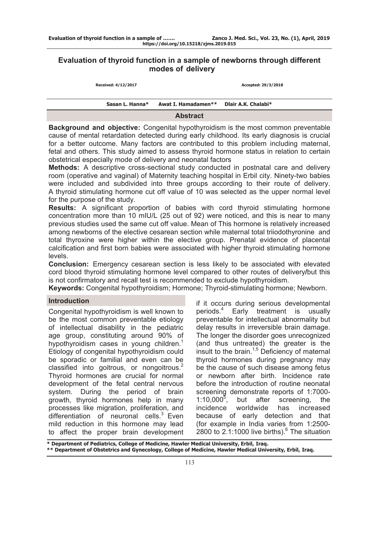# **Evaluation of thyroid function in a sample of newborns through different modes of delivery**

| Sasan L. Hanna*     | Awat I. Hamadamen** | Dlair A.K. Chalabi* |  |
|---------------------|---------------------|---------------------|--|
| Received: 4/12/2017 |                     | Accepted: 29/3/2018 |  |
|                     |                     |                     |  |

#### **Abstract**

**Background and objective:** Congenital hypothyroidism is the most common preventable cause of mental retardation detected during early childhood. Its early diagnosis is crucial for a better outcome. Many factors are contributed to this problem including maternal, fetal and others. This study aimed to assess thyroid hormone status in relation to certain obstetrical especially mode of delivery and neonatal factors

**Methods:** A descriptive cross-sectional study conducted in postnatal care and delivery room (operative and vaginal) of Maternity teaching hospital in Erbil city. Ninety-two babies were included and subdivided into three groups according to their route of delivery. A thyroid stimulating hormone cut off value of 10 was selected as the upper normal level for the purpose of the study.

**Results:** A significant proportion of babies with cord thyroid stimulating hormone concentration more than 10 mIU/L (25 out of 92) were noticed, and this is near to many previous studies used the same cut off value. Mean of This hormone is relatively increased among newborns of the elective cesarean section while maternal total triiodothyronine and total thyroxine were higher within the elective group. Prenatal evidence of placental calcification and first born babies were associated with higher thyroid stimulating hormone levels.

**Conclusion:** Emergency cesarean section is less likely to be associated with elevated cord blood thyroid stimulating hormone level compared to other routes of delivery**/**but this is not confirmatory and recall test is recommended to exclude hypothyroidism.

**Keywords:** Congenital hypothyroidism; Hormone; Thyroid-stimulating hormone; Newborn.

## **Introduction**

Congenital hypothyroidism is well known to be the most common preventable etiology of intellectual disability in the pediatric age group, constituting around 90% of hypothyroidism cases in young children.<sup>1</sup> Etiology of congenital hypothyroidism could be sporadic or familial and even can be classified into goitrous, or nongoitrous.<sup>2</sup> Thyroid hormones are crucial for normal development of the fetal central nervous system. During the period of brain growth, thyroid hormones help in many processes like migration, proliferation, and differentiation of neuronal cells. $3$  Even mild reduction in this hormone may lead to affect the proper brain development

if it occurs during serious developmental periods.<sup>4</sup> Early treatment is usually preventable for intellectual abnormality but delay results in irreversible brain damage. The longer the disorder goes unrecognized (and thus untreated) the greater is the insult to the brain. $1,5$  Deficiency of maternal thyroid hormones during pregnancy may be the cause of such disease among fetus or newborn after birth. Incidence rate before the introduction of routine neonatal screening demonstrate reports of 1:7000-  $1:10,000^5,$ , but after screening, the incidence worldwide has increased because of early detection and that (for example in India varies from 1:2500-  $2800$  to  $2.1:1000$  live births).<sup>6</sup> The situation

**\* Department of Pediatrics, College of Medicine, Hawler Medical University, Erbil, Iraq. \*\* Department of Obstetrics and Gynecology, College of Medicine, Hawler Medical University, Erbil, Iraq.**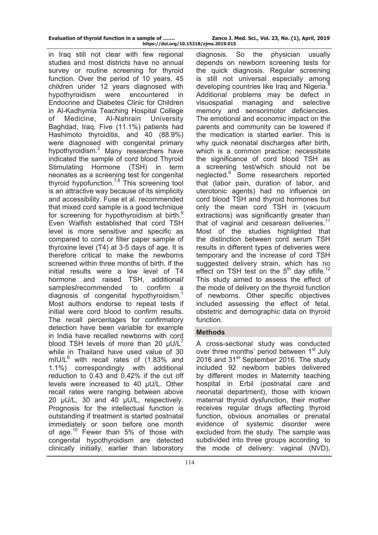in Iraq still not clear with few regional studies and most districts have no annual survey or routine screening for thyroid function. Over the period of 10 years, 45 children under 12 years diagnosed with hypothyroidism were encountered in Endocrine and Diabetes Clinic for Children in Al-Kadhymia Teaching Hospital College of Medicine, Al-Nahrain University Baghdad, Iraq. Five (11.1%) patients had Hashimoto thyroiditis, and 40 (88.9%) were diagnosed with congenital primary hypothyroidism.<sup>2</sup> Many researchers have indicated the sample of cord blood Thyroid Stimulating Hormone (TSH) in term neonates as a screening test for congenital thyroid hypofunction.<sup>7,8</sup> This screening tool is an attractive way because of its simplicity and accessibility. Fuse et al. recommended that mixed cord sample is a good technique for screening for hypothyroidism at birth.<sup>9</sup> Even Walfish established that cord TSH level is more sensitive and specific as compared to cord or filter paper sample of thyroxine level (T4) at 3-5 days of age. It is therefore critical to make the newborns screened within three months of birth. If the initial results were a low level of T4 hormone and raised TSH, additional**/** samples**/**recommended to confirm a diagnosis of congenital hypothyroidism.<sup>1</sup> Most authors endorse to repeat tests if initial were cord blood to confirm results. The recall percentages for confirmatory detection have been variable for example in India have recalled newborns with cord blood TSH levels of more than 20  $\mu$ U/L<sup>7</sup> while in Thailand have used value of 30 mIU/L $^6$  with recall rates of (1.83% and 1.1%) correspondingly with additional reduction to 0.43 and 0.42% if the cut off levels were increased to 40 μU/L. Other recall rates were ranging between above 20 μU/L, 30 and 40 μU/L, respectively. Prognosis for the intellectual function is outstanding if treatment is started postnatal immediately or soon before one month of age.<sup>10</sup> Fewer than 5% of those with congenital hypothyroidism are detected clinically initially, earlier than laboratory

diagnosis. So the physician usually depends on newborn screening tests for the quick diagnosis. Regular screening is still not universal especially among developing countries like Iraq and Nigeria.<sup>8</sup> Additional problems may be defect in visuospatial managing and selective memory and sensorimotor deficiencies. The emotional and economic impact on the parents and community can be lowered if the medication is started earlier. This is why quick neonatal discharges after birth, which is a common practice; necessitate the significance of cord blood TSH as a screening test/which should not be neglected.<sup>6</sup> Some researchers reported that (labor pain, duration of labor, and uterotonic agents) had no influence on cord blood TSH and thyroid hormones but only the mean cord TSH in (vacuum extractions) was significantly greater than that of vaginal and cesarean deliveries.<sup>11</sup> Most of the studies highlighted that the distinction between cord serum TSH results in different types of deliveries were temporary and the increase of cord TSH suggested delivery strain, which has no effect on TSH test on the  $5<sup>th</sup>$  day oflife.<sup>12</sup> This study aimed to assess the effect of the mode of delivery on the thyroid function of newborns. Other specific objectives included assessing the effect of fetal, obstetric and demographic data on thyroid function.

## **Methods**

A cross-sectional study was conducted over three months' period between 1<sup>st</sup> July 2016 and 31<sup>st</sup> September 2016. The study included 92 newborn babies delivered by different modes in Maternity teaching hospital in Erbil (postnatal care and neonatal department), those with known maternal thyroid dysfunction, their mother receives regular drugs affecting thyroid function, obvious anomalies or prenatal evidence of systemic disorder were excluded from the study. The sample was subdivided into three groups according to the mode of delivery: vaginal (NVD),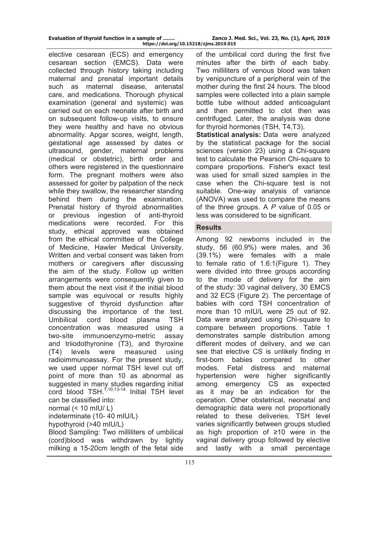|  |  |  | Evaluation of thyroid function in a sample of |
|--|--|--|-----------------------------------------------|
|  |  |  | https://doi.org/                              |

elective cesarean (ECS) and emergency cesarean section (EMCS). Data were collected through history taking including maternal and prenatal important details such as maternal disease, antenatal care, and medications. Thorough physical examination (general and systemic) was carried out on each neonate after birth and on subsequent follow-up visits, to ensure they were healthy and have no obvious abnormality. Apgar scores, weight, length, gestational age assessed by dates or ultrasound, gender, maternal problems (medical or obstetric), birth order and others were registered in the questionnaire form. The pregnant mothers were also assessed for goiter by palpation of the neck while they swallow, the researcher standing behind them during the examination. Prenatal history of thyroid abnormalities or previous ingestion of anti-thyroid medications were recorded. For this study, ethical approved was obtained from the ethical committee of the College of Medicine, Hawler Medical University. Written and verbal consent was taken from mothers or caregivers after discussing the aim of the study. Follow up written arrangements were consequently given to them about the next visit if the initial blood sample was equivocal or results highly suggestive of thyroid dysfunction after discussing the importance of the test. Umbilical cord blood plasma TSH concentration was measured using a two-site immunoenzymo-metric assay and triiodothyronine (T3), and thyroxine (T4) levels were measured using radioimmunoassay. For the present study, we used upper normal TSH level cut off point of more than 10 as abnormal as suggested in many studies regarding initial  $\overrightarrow{C}$  blood TSH.<sup>1,10,13-14</sup> Initial TSH level can be classified into: normal  $(< 10$  mIU/ L) indeterminate (10- 40 mIU/L) hypothyroid (>40 mIU/L) Blood Sampling: Two milliliters of umbilical

(cord)blood was withdrawn by lightly milking a 15-20cm length of the fetal side of the umbilical cord during the first five minutes after the birth of each baby. Two milliliters of venous blood was taken by venipuncture of a peripheral vein of the mother during the first 24 hours. The blood samples were collected into a plain sample bottle tube without added anticoagulant and then permitted to clot then was centrifuged. Later, the analysis was done for thyroid hormones (TSH, T4,T3).

**Statistical analysis:** Data were analyzed by the statistical package for the social sciences (version 23) using a Chi-square test to calculate the Pearson Chi-square to compare proportions. Fisher's exact test was used for small sized samples in the case when the Chi-square test is not suitable. One-way analysis of variance (ANOVA) was used to compare the means of the three groups. A *P* value of 0.05 or less was considered to be significant.

## **Results**

Among 92 newborns included in the study, 56 (60.9%) were males, and 36 (39.1%) were females with a male to female ratio of 1.6:1(Figure 1). They were divided into three groups according to the mode of delivery for the aim of the study: 30 vaginal delivery, 30 EMCS and 32 ECS (Figure 2). The percentage of babies with cord TSH concentration of more than 10 mIU/L were 25 out of 92. Data were analyzed using Chi-square to compare between proportions. Table 1 demonstrates sample distribution among different modes of delivery, and we can see that elective CS is unlikely finding in first-born babies compared to other modes. Fetal distress and maternal hypertension were higher significantly among emergency CS as expected as it may be an indication for the operation. Other obstetrical, neonatal and demographic data were not proportionally related to these deliveries. TSH level varies significantly between groups studied as high proportion of ≥10 were in the vaginal delivery group followed by elective and lastly with a small percentage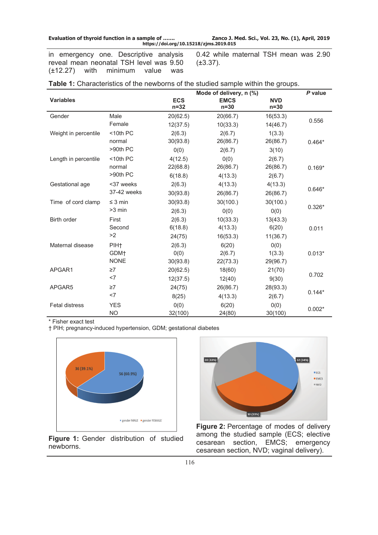**Evaluation of thyroid function in a sample of ……. Zanco J. Med. Sci., Vol. 23, No. (1), April, 2019 https://doi.org/10.15218/zjms.2019.015**

in emergency one. Descriptive analysis reveal mean neonatal TSH level was 9.50 (±12.27) with minimum value was 0.42 while maternal TSH mean was 2.90 (±3.37).

|                       |                  | Mode of delivery, n (%) | P value               |                      |          |
|-----------------------|------------------|-------------------------|-----------------------|----------------------|----------|
| <b>Variables</b>      |                  | <b>ECS</b><br>$n = 32$  | <b>EMCS</b><br>$n=30$ | <b>NVD</b><br>$n=30$ |          |
| Gender                | Male             | 20(62.5)                | 20(66.7)              | 16(53.3)             |          |
|                       | Female           | 12(37.5)                | 10(33.3)              | 14(46.7)             | 0.556    |
| Weight in percentile  | $<$ 10th PC      | 2(6.3)                  | 2(6.7)                | 1(3.3)               |          |
|                       | normal           | 30(93.8)                | 26(86.7)              | 26(86.7)             | $0.464*$ |
|                       | >90th PC         | 0(0)                    | 2(6.7)                | 3(10)                |          |
| Length in percentile  | $<$ 10th PC      | 4(12.5)                 | 0(0)                  | 2(6.7)               |          |
|                       | normal           | 22(68.8)                | 26(86.7)              | 26(86.7)             | $0.169*$ |
|                       | $>90th$ PC       | 6(18.8)                 | 4(13.3)               | 2(6.7)               |          |
| Gestational age       | <37 weeks        | 2(6.3)                  | 4(13.3)               | 4(13.3)              |          |
|                       | 37-42 weeks      | 30(93.8)                | 26(86.7)              | 26(86.7)             | $0.646*$ |
| Time of cord clamp    | $\leq$ 3 min     | 30(93.8)                | 30(100.)              | 30(100.)             |          |
|                       | >3 min           | 2(6.3)                  | 0(0)                  | 0(0)                 | $0.326*$ |
| Birth order           | First            | 2(6.3)                  | 10(33.3)              | 13(43.3)             |          |
|                       | Second           | 6(18.8)                 | 4(13.3)               | 6(20)                | 0.011    |
|                       | >2               | 24(75)                  | 16(53.3)              | 11(36.7)             |          |
| Maternal disease      | PIH <sub>t</sub> | 2(6.3)                  | 6(20)                 | 0(0)                 |          |
|                       | GDM+             | 0(0)                    | 2(6.7)                | 1(3.3)               | $0.013*$ |
|                       | <b>NONE</b>      | 30(93.8)                | 22(73.3)              | 29(96.7)             |          |
| APGAR1                | $\geq 7$         | 20(62.5)                | 18(60)                | 21(70)               |          |
|                       | $<$ 7            | 12(37.5)                | 12(40)                | 9(30)                | 0.702    |
| APGAR5                | $\geq 7$         | 24(75)                  | 26(86.7)              | 28(93.3)             |          |
|                       | <7               | 8(25)                   | 4(13.3)               | 2(6.7)               | $0.144*$ |
| <b>Fetal distress</b> | <b>YES</b>       | 0(0)                    | 6(20)                 | 0(0)                 |          |
|                       | <b>NO</b>        | 32(100)                 | 24(80)                | 30(100)              | $0.002*$ |

| Table 1: Characteristics of the newborns of the studied sample within the groups. |  |  |  |
|-----------------------------------------------------------------------------------|--|--|--|
|                                                                                   |  |  |  |

\* Fisher exact test

† PIH; pregnancy-induced hypertension, GDM; gestational diabetes



Figure 1: Gender distribution of studied newborns.



Figure 2: Percentage of modes of delivery among the studied sample (ECS; elective cesarean section, EMCS; emergency cesarean section, NVD; vaginal delivery).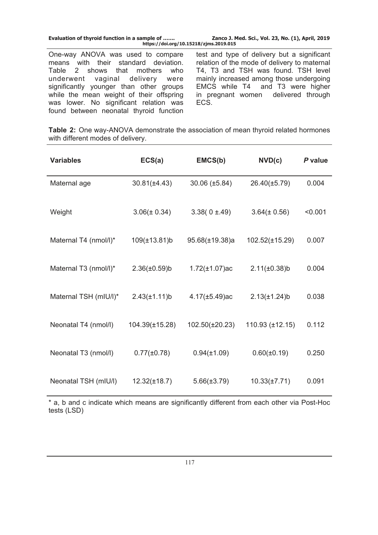| Evaluation of thyroid function in a sample of | Zanco J. Med. Sci., Vol. 23, No. (1), April, 2019 |
|-----------------------------------------------|---------------------------------------------------|
| https://doi.org/10.15218/zjms.2019.015        |                                                   |

One-way ANOVA was used to compare means with their standard deviation. Table 2 shows that mothers who<br>underwent vaginal delivery were underwent vaginal delivery were significantly younger than other groups while the mean weight of their offspring was lower. No significant relation was found between neonatal thyroid function

test and type of delivery but a significant relation of the mode of delivery to maternal T4, T3 and TSH was found. TSH level mainly increased among those undergoing EMCS while T4 and T3 were higher in pregnant women delivered through ECS.

**Table 2:** One way-ANOVA demonstrate the association of mean thyroid related hormones with different modes of delivery.

| <b>Variables</b>      | ECS(a)             | EMCS(b)             | NVD(c)              | P value |
|-----------------------|--------------------|---------------------|---------------------|---------|
| Maternal age          | $30.81(\pm 4.43)$  | $30.06 (\pm 5.84)$  | 26.40(±5.79)        | 0.004   |
| Weight                | $3.06(\pm 0.34)$   | $3.38(0 \pm .49)$   | $3.64 (\pm 0.56)$   | < 0.001 |
| Maternal T4 (nmol/l)* | $109(\pm 13.81)$ b | 95.68(±19.38)a      | $102.52(\pm 15.29)$ | 0.007   |
| Maternal T3 (nmol/l)* | $2.36(\pm 0.59)$ b | $1.72(\pm 1.07)$ ac | $2.11(\pm 0.38)$ b  | 0.004   |
| Maternal TSH (mIU/I)* | $2.43(\pm 1.11)b$  | $4.17(\pm 5.49)$ ac | $2.13(\pm 1.24)$ b  | 0.038   |
| Neonatal T4 (nmol/l)  | 104.39(±15.28)     | 102.50(±20.23)      | 110.93 (±12.15)     | 0.112   |
| Neonatal T3 (nmol/l)  | $0.77(\pm 0.78)$   | $0.94(\pm 1.09)$    | $0.60(\pm 0.19)$    | 0.250   |
| Neonatal TSH (mIU/l)  | $12.32(\pm 18.7)$  | $5.66(\pm 3.79)$    | $10.33(\pm 7.71)$   | 0.091   |

\* a, b and c indicate which means are significantly different from each other via Post-Hoc tests (LSD)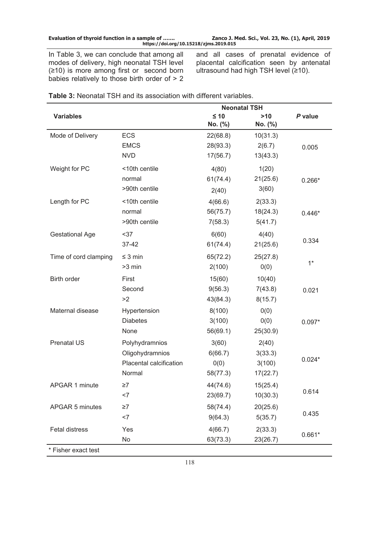| Evaluation of thyroid function in a sample of | Zanco J. Med. Sci., Vol. 23, No. (1), April, 2019 |
|-----------------------------------------------|---------------------------------------------------|
|                                               |                                                   |

**https://doi.org/10.15218/zjms.2019.015**

In Table 3, we can conclude that among all modes of delivery, high neonatal TSH level (≥10) is more among first or second born babies relatively to those birth order of > 2 and all cases of prenatal evidence of placental calcification seen by antenatal ultrasound had high TSH level (≥10).

|                        | <b>Neonatal TSH</b>     |           |          |          |
|------------------------|-------------------------|-----------|----------|----------|
| <b>Variables</b>       |                         | $\leq 10$ | $>10$    | P value  |
|                        |                         | No. (%)   | No. (%)  |          |
| Mode of Delivery       | <b>ECS</b>              | 22(68.8)  | 10(31.3) |          |
|                        | <b>EMCS</b>             | 28(93.3)  | 2(6.7)   | 0.005    |
|                        | <b>NVD</b>              | 17(56.7)  | 13(43.3) |          |
| Weight for PC          | <10th centile           | 4(80)     | 1(20)    |          |
|                        | normal                  | 61(74.4)  | 21(25.6) | $0.266*$ |
|                        | >90th centile           | 2(40)     | 3(60)    |          |
| Length for PC          | <10th centile           | 4(66.6)   | 2(33.3)  |          |
|                        | normal                  | 56(75.7)  | 18(24.3) | $0.446*$ |
|                        | >90th centile           | 7(58.3)   | 5(41.7)  |          |
| <b>Gestational Age</b> | $37$                    | 6(60)     | 4(40)    |          |
|                        | 37-42                   | 61(74.4)  | 21(25.6) | 0.334    |
| Time of cord clamping  | $\leq$ 3 min            | 65(72.2)  | 25(27.8) |          |
|                        | >3 min                  | 2(100)    | 0(0)     | $1*$     |
| Birth order            | First                   | 15(60)    | 10(40)   |          |
|                        | Second                  | 9(56.3)   | 7(43.8)  | 0.021    |
|                        | >2                      | 43(84.3)  | 8(15.7)  |          |
| Maternal disease       | Hypertension            | 8(100)    | 0(0)     |          |
|                        | <b>Diabetes</b>         | 3(100)    | 0(0)     | $0.097*$ |
|                        | None                    | 56(69.1)  | 25(30.9) |          |
| <b>Prenatal US</b>     | Polyhydramnios          | 3(60)     | 2(40)    |          |
|                        | Oligohydramnios         | 6(66.7)   | 3(33.3)  |          |
|                        | Placental calcification | 0(0)      | 3(100)   | $0.024*$ |
|                        | Normal                  | 58(77.3)  | 17(22.7) |          |
| APGAR 1 minute         | ≥7                      | 44(74.6)  | 15(25.4) |          |
|                        | $<$ 7                   | 23(69.7)  | 10(30.3) | 0.614    |
| APGAR 5 minutes        | $\geq 7$                | 58(74.4)  | 20(25.6) |          |
|                        | $<$ 7                   | 9(64.3)   | 5(35.7)  | 0.435    |
| Fetal distress         | Yes                     | 4(66.7)   | 2(33.3)  | $0.661*$ |
|                        | No                      | 63(73.3)  | 23(26.7) |          |

**Table 3:** Neonatal TSH and its association with different variables.

Fisher exact test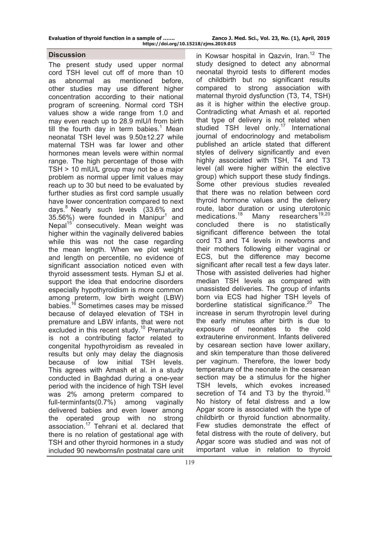#### **Discussion**

The present study used upper normal cord TSH level cut off of more than 10 as abnormal as mentioned before, other studies may use different higher concentration according to their national program of screening. Normal cord TSH values show a wide range from 1.0 and may even reach up to 28.9 mlU/l from birth till the fourth day in term babies.<sup>1</sup> Mean neonatal TSH level was 9.50±12.27 while maternal TSH was far lower and other hormones mean levels were within normal range. The high percentage of those with TSH > 10 mIU/L group may not be a major problem as normal upper limit values may reach up to 30 but need to be evaluated by further studies as first cord sample usually have lower concentration compared to next days.<sup>8</sup> Nearly such levels (33.6% and  $35.56\%$ ) were founded in Manipur<sup>1</sup> and Nepal<sup>15</sup> consecutively. Mean weight was higher within the vaginally delivered babies while this was not the case regarding the mean length. When we plot weight and length on percentile, no evidence of significant association noticed even with thyroid assessment tests. Hyman SJ et al. support the idea that endocrine disorders especially hypothyroidism is more common among preterm, low birth weight (LBW) babies.16 Sometimes cases may be missed because of delayed elevation of TSH in premature and LBW infants, that were not excluded in this recent study.<sup>10</sup> Prematurity is not a contributing factor related to congenital hypothyroidism as revealed in results but only may delay the diagnosis because of low initial TSH levels. This agrees with Amash et al. in a study conducted in Baghdad during a one-year period with the incidence of high TSH level was 2% among preterm compared to full-terminfants(0.7%) among vaginally delivered babies and even lower among the operated group with no strong association.17 Tehrani et al. declared that there is no relation of gestational age with TSH and other thyroid hormones in a study included 90 newborns**/**in postnatal care unit

in Kowsar hospital in Qazvin, Iran.<sup>12</sup> The study designed to detect any abnormal neonatal thyroid tests to different modes of childbirth but no significant results compared to strong association with maternal thyroid dysfunction (T3, T4, TSH) as it is higher within the elective group. Contradicting what Amash et al. reported that type of delivery is not related when studied TSH level only.<sup>17</sup> International journal of endocrinology and metabolism published an article stated that different styles of delivery significantly and even highly associated with TSH, T4 and T3 level (all were higher within the elective group) which support these study findings. Some other previous studies revealed that there was no relation between cord thyroid hormone values and the delivery route, labor duration or using uterotonic medications. $18$  Many researchers<sup>19,20</sup> concluded there is no statistically significant difference between the total cord T3 and T4 levels in newborns and their mothers following either vaginal or ECS, but the difference may become significant after recall test a few days later. Those with assisted deliveries had higher median TSH levels as compared with unassisted deliveries. The group of infants born via ECS had higher TSH levels of borderline statistical significance.<sup>20</sup> The increase in serum thyrotropin level during the early minutes after birth is due to exposure of neonates to the cold extrauterine environment. Infants delivered by cesarean section have lower axillary, and skin temperature than those delivered per vaginum. Therefore, the lower body temperature of the neonate in the cesarean section may be a stimulus for the higher TSH levels, which evokes increased secretion of T4 and T3 by the thyroid.<sup>10</sup> No history of fetal distress and a low Apgar score is associated with the type of childbirth or thyroid function abnormality. Few studies demonstrate the effect of fetal distress with the route of delivery, but Apgar score was studied and was not of important value in relation to thyroid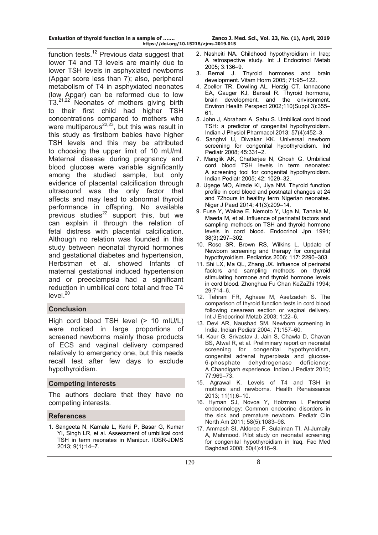function tests.<sup>12</sup> Previous data suggest that lower T4 and T3 levels are mainly due to lower TSH levels in asphyxiated newborns (Apgar score less than 7); also, peripheral metabolism of T4 in asphyxiated neonates (low Apgar) can be reformed due to low T3.<sup>21,22</sup> Neonates of mothers giving birth to their first child had higher TSH concentrations compared to mothers who were multiparous $^{22,23}$ , but this was result in this study as firstborn babies have higher TSH levels and this may be attributed to choosing the upper limit of 10 mU/ml. Maternal disease during pregnancy and blood glucose were variable significantly among the studied sample, but only evidence of placental calcification through ultrasound was the only factor that affects and may lead to abnormal thyroid performance in offspring. No available previous studies $^{22}$  support this, but we can explain it through the relation of fetal distress with placental calcification. Although no relation was founded in this study between neonatal thyroid hormones and gestational diabetes and hypertension, Herbstman et al. showed Infants of maternal gestational induced hypertension and or preeclampsia had a significant reduction in umbilical cord total and free T4 level.<sup>20</sup>

# **Conclusion**

High cord blood TSH level (> 10 mIU/L) were noticed in large proportions of screened newborns mainly those products of ECS and vaginal delivery compared relatively to emergency one, but this needs recall test after few days to exclude hypothyroidism.

## **Competing interests**

The authors declare that they have no competing interests.

## **References**

1. Sangeeta N, Kamala L, Karki P, Basar G, Kumar YI, Singh LR, et al. Assessment of umbilical cord TSH in term neonates in Manipur. IOSR-JDMS 2013; 9(1):14–7.

- 2. Nasheiti NA. Childhood hypothyroidism in Iraq: A retrospective study. Int J Endocrinol Metab 2005; 3:136–9.
- 3. Bernal J. Thyroid hormones and brain development. Vitam Horm 2005; 71:95–122.
- 4. Zoeller TR, Dowling AL, Herzig CT, Iannacone EA, Gauger KJ, Bansal R. Thyroid hormone, brain development, and the environment. Environ Health Perspect 2002;110(Suppl 3):355– 61.
- 5. John J, Abraham A, Sahu S. Umbilical cord blood TSH: a predictor of congenital hypothyroidism. Indian J Physiol Pharmacol 2013; 57(4):452–3.
- 6. Sanghvi U, Diwakar KK. Universal newborn screening for congenital hypothyroidism. Ind Pediatr 2008; 45:331–2.
- 7. Manglik AK, Chatterjee N, Ghosh G. Umbilical cord blood TSH levels in term neonates: A screening tool for congenital hypothyroidism. Indian Pediatr 2005; 42: 1029–32.
- 8. Ugege MO, Airede KI, Jiya NM. Thyroid function profile in cord blood and postnatal changes at 24 and 72hours in healthy term Nigerian neonates. Niger J Paed 2014; 41(3):209–14.
- 9. Fuse Y, Wakae E, Nemoto Y, Uga N, Tanaka M, Maeda M, et al. Influence of perinatal factors and sampling methods on TSH and thyroid hormone levels in cord blood. Endocrinol Jpn 1991; 38(3):297–302.
- 10. Rose SR, Brown RS, Wilkins L. Update of Newborn screening and therapy for congenital hypothyroidism. Pediatrics 2006; 117: 2290–303.
- 11. Shi LX, Ma QL, Zhang JX. Influence of perinatal factors and sampling methods on thyroid stimulating hormone and thyroid hormone levels in cord blood. Zhonghua Fu Chan KeZaZhi 1994; 29:714–6.
- 12. Tehrani FR, Aghaee M, Asefzadeh S. The comparison of thyroid function tests in cord blood following cesarean section or vaginal delivery. Int J Endocrinol Metab 2003; 1:22–6.
- 13. Devi AR, Naushad SM. Newborn screening in India. Indian Pediatr 2004; 71:157–60.
- 14. Kaur G, Srivastav J, Jain S, Chawla D, Chavan BS, Atwal R, et al. Preliminary report on neonatal screening for congenital hypothyroidism, congenital adrenal hyperplasia and glucose-6-phosphate dehydrogenase deficiency: A Chandigarh experience. Indian J Pediatr 2010; 77:969–73.
- 15. Agrawal K. Levels of T4 and TSH in mothers and newborns. Health Renaissance 2013; 11(1):6–10.
- 16. [Hyman SJ](https://www.ncbi.nlm.nih.gov/pubmed/?term=Hyman%20SJ%5BAuthor%5D&cauthor=true&cauthor_uid=21981950), [Novoa Y](https://www.ncbi.nlm.nih.gov/pubmed/?term=Novoa%20Y%5BAuthor%5D&cauthor=true&cauthor_uid=21981950), [Holzman I](https://www.ncbi.nlm.nih.gov/pubmed/?term=Holzman%20I%5BAuthor%5D&cauthor=true&cauthor_uid=21981950). Perinatal endocrinology: Common endocrine disorders in the sick and premature newborn. Pediatr Clin North Am 2011; 58(5):1083–98.
- 17. Ammash SI, Aldoree F, Sulaiman TI, Al-Jumaily A, Mahmood. Pilot study on neonatal screening for congenital hypothyroidism in Iraq. Fac Med Baghdad 2008; 50(4):416–9.